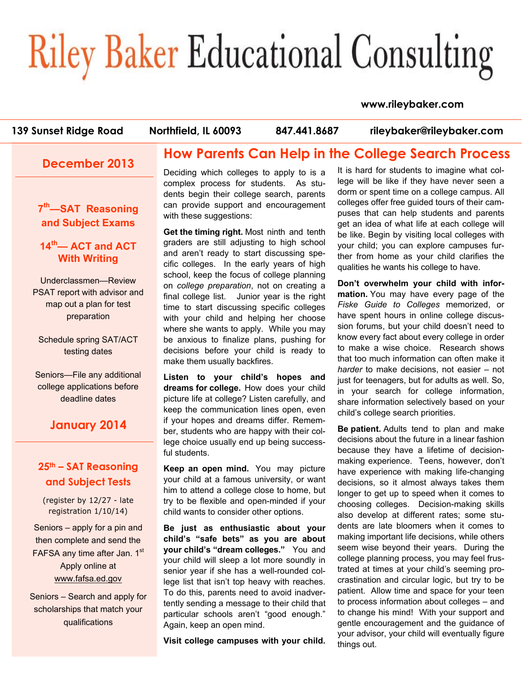# **Riley Baker Educational Consulting**

#### **www.rileybaker.com**

your advisor, your child will eventually figure

things out.

| 139 Sunset Ridge Road                                                                        | Northfield, IL 60093<br>847.441.8687                                                                                                                                               | rileybaker@rileybaker.com                                                                                                                                                               |
|----------------------------------------------------------------------------------------------|------------------------------------------------------------------------------------------------------------------------------------------------------------------------------------|-----------------------------------------------------------------------------------------------------------------------------------------------------------------------------------------|
| <b>December 2013</b>                                                                         |                                                                                                                                                                                    | <b>How Parents Can Help in the College Search Process</b>                                                                                                                               |
|                                                                                              | Deciding which colleges to apply to is a<br>complex process for students. As stu-<br>dents begin their college search, parents                                                     | It is hard for students to imagine what col-<br>lege will be like if they have never seen a<br>dorm or spent time on a college campus. All                                              |
| 7 <sup>th</sup> -SAT Reasoning<br>and Subject Exams                                          | can provide support and encouragement<br>with these suggestions:                                                                                                                   | colleges offer free guided tours of their cam-<br>puses that can help students and parents<br>get an idea of what life at each college will                                             |
| 14 <sup>th</sup> — ACT and ACT<br><b>With Writing</b>                                        | Get the timing right. Most ninth and tenth<br>graders are still adjusting to high school<br>and aren't ready to start discussing spe-                                              | be like. Begin by visiting local colleges with<br>your child; you can explore campuses fur-<br>ther from home as your child clarifies the                                               |
| Underclassmen-Review<br>PSAT report with advisor and                                         | cific colleges. In the early years of high<br>school, keep the focus of college planning<br>on college preparation, not on creating a                                              | qualities he wants his college to have.<br>Don't overwhelm your child with infor-<br>mation. You may have every page of the                                                             |
| map out a plan for test<br>preparation                                                       | final college list.<br>Junior year is the right<br>time to start discussing specific colleges<br>with your child and helping her choose<br>where she wants to apply. While you may | Fiske Guide to Colleges memorized, or<br>have spent hours in online college discus-<br>sion forums, but your child doesn't need to                                                      |
| Schedule spring SAT/ACT<br>testing dates                                                     | be anxious to finalize plans, pushing for<br>decisions before your child is ready to<br>make them usually backfires.                                                               | know every fact about every college in order<br>to make a wise choice. Research shows<br>that too much information can often make it                                                    |
| Seniors-File any additional<br>college applications before<br>deadline dates                 | Listen to your child's hopes and<br>dreams for college. How does your child<br>picture life at college? Listen carefully, and                                                      | harder to make decisions, not easier - not<br>just for teenagers, but for adults as well. So,<br>in your search for college information,<br>share information selectively based on your |
| <b>January 2014</b>                                                                          | keep the communication lines open, even<br>if your hopes and dreams differ. Remem-<br>ber, students who are happy with their col-                                                  | child's college search priorities.<br>Be patient. Adults tend to plan and make<br>decisions about the future in a linear fashion                                                        |
|                                                                                              | lege choice usually end up being success-<br>ful students.                                                                                                                         | because they have a lifetime of decision-<br>making experience. Teens, however, don't                                                                                                   |
| 25th - SAT Reasoning<br>and Subject Tests                                                    | Keep an open mind. You may picture<br>your child at a famous university, or want                                                                                                   | have experience with making life-changing<br>decisions, so it almost always takes them                                                                                                  |
| (register by 12/27 - late<br>registration 1/10/14)                                           | him to attend a college close to home, but<br>try to be flexible and open-minded if your<br>child wants to consider other options.                                                 | longer to get up to speed when it comes to<br>choosing colleges. Decision-making skills<br>also develop at different rates; some stu-                                                   |
| Seniors - apply for a pin and<br>then complete and send the<br>FAFSA any time after Jan. 1st | Be just as enthusiastic about your<br>child's "safe bets" as you are about<br>your child's "dream colleges." You and                                                               | dents are late bloomers when it comes to<br>making important life decisions, while others<br>seem wise beyond their years. During the                                                   |
| Apply online at<br>www.fafsa.ed.gov                                                          | your child will sleep a lot more soundly in<br>senior year if she has a well-rounded col-<br>lege list that isn't top heavy with reaches.                                          | college planning process, you may feel frus-<br>trated at times at your child's seeming pro-<br>crastination and circular logic, but try to be                                          |
| Seniors - Search and apply for<br>scholarships that match your                               | To do this, parents need to avoid inadver-<br>tently sending a message to their child that<br>particular schools aren't "good enough."                                             | patient. Allow time and space for your teen<br>to process information about colleges - and<br>to change his mind! With your support and                                                 |
| qualifications                                                                               | Again, keep an open mind.                                                                                                                                                          | gentle encouragement and the guidance of                                                                                                                                                |

**Visit college campuses with your child.**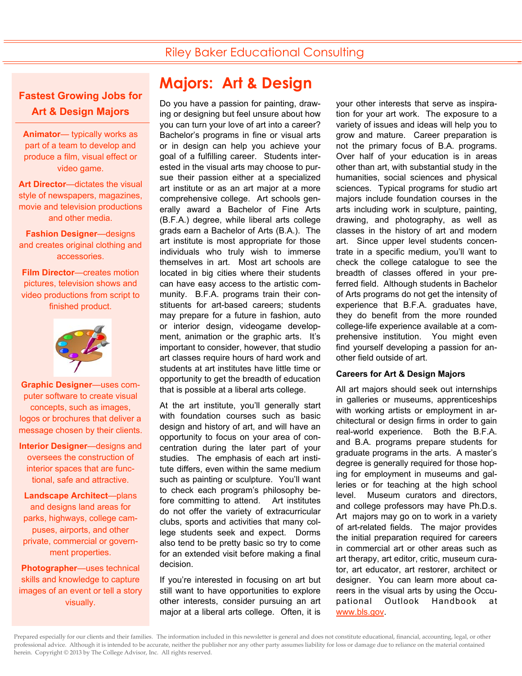### **Fastest Growing Jobs for Art & Design Majors**

**Animator**— typically works as part of a team to develop and produce a film, visual effect or video game.

**Art Director**—dictates the visual style of newspapers, magazines, movie and television productions and other media.

**Fashion Designer**—designs and creates original clothing and accessories.

**Film Director**—creates motion pictures, television shows and video productions from script to finished product.



**Graphic Designer**—uses computer software to create visual concepts, such as images, logos or brochures that deliver a message chosen by their clients.

**Interior Designer**—designs and oversees the construction of interior spaces that are functional, safe and attractive.

**Landscape Architect**—plans and designs land areas for parks, highways, college campuses, airports, and other private, commercial or government properties.

**Photographer**—uses technical skills and knowledge to capture images of an event or tell a story visually.

# **Majors: Art & Design**

Do you have a passion for painting, drawing or designing but feel unsure about how you can turn your love of art into a career? Bachelor's programs in fine or visual arts or in design can help you achieve your goal of a fulfilling career. Students interested in the visual arts may choose to pursue their passion either at a specialized art institute or as an art major at a more comprehensive college. Art schools generally award a Bachelor of Fine Arts (B.F.A.) degree, while liberal arts college grads earn a Bachelor of Arts (B.A.). The art institute is most appropriate for those individuals who truly wish to immerse themselves in art. Most art schools are located in big cities where their students can have easy access to the artistic community. B.F.A. programs train their constituents for art-based careers; students may prepare for a future in fashion, auto or interior design, videogame development, animation or the graphic arts. It's important to consider, however, that studio art classes require hours of hard work and students at art institutes have little time or opportunity to get the breadth of education that is possible at a liberal arts college.

At the art institute, you'll generally start with foundation courses such as basic design and history of art, and will have an opportunity to focus on your area of concentration during the later part of your studies. The emphasis of each art institute differs, even within the same medium such as painting or sculpture. You'll want to check each program's philosophy before committing to attend. Art institutes do not offer the variety of extracurricular clubs, sports and activities that many college students seek and expect. Dorms also tend to be pretty basic so try to come for an extended visit before making a final decision.

If you're interested in focusing on art but still want to have opportunities to explore other interests, consider pursuing an art major at a liberal arts college. Often, it is

your other interests that serve as inspiration for your art work. The exposure to a variety of issues and ideas will help you to grow and mature. Career preparation is not the primary focus of B.A. programs. Over half of your education is in areas other than art, with substantial study in the humanities, social sciences and physical sciences. Typical programs for studio art majors include foundation courses in the arts including work in sculpture, painting, drawing, and photography, as well as classes in the history of art and modern art. Since upper level students concentrate in a specific medium, you'll want to check the college catalogue to see the breadth of classes offered in your preferred field. Although students in Bachelor of Arts programs do not get the intensity of experience that B.F.A. graduates have, they do benefit from the more rounded college-life experience available at a comprehensive institution. You might even find yourself developing a passion for another field outside of art.

#### **Careers for Art & Design Majors**

All art majors should seek out internships in galleries or museums, apprenticeships with working artists or employment in architectural or design firms in order to gain real-world experience. Both the B.F.A. and B.A. programs prepare students for graduate programs in the arts. A master's degree is generally required for those hoping for employment in museums and galleries or for teaching at the high school level. Museum curators and directors, and college professors may have Ph.D.s. Art majors may go on to work in a variety of art-related fields. The major provides the initial preparation required for careers in commercial art or other areas such as art therapy, art editor, critic, museum curator, art educator, art restorer, architect or designer. You can learn more about careers in the visual arts by using the Occupational Outlook Handbook www.bls.gov.

Prepared especially for our clients and their families. The information included in this newsletter is general and does not constitute educational, financial, accounting, legal, or other professional advice. Although it is intended to be accurate, neither the publisher nor any other party assumes liability for loss or damage due to reliance on the material contained herein. Copyright © 2013 by The College Advisor, Inc. All rights reserved.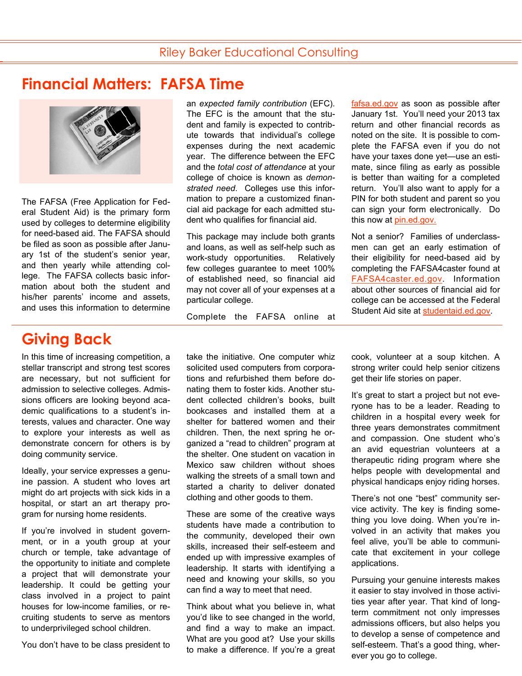## **Financial Matters: FAFSA Time**



The FAFSA (Free Application for Federal Student Aid) is the primary form used by colleges to determine eligibility for need-based aid. The FAFSA should be filed as soon as possible after January 1st of the student's senior year, and then yearly while attending college. The FAFSA collects basic information about both the student and his/her parents' income and assets, and uses this information to determine

## **Giving Back**

In this time of increasing competition, a stellar transcript and strong test scores are necessary, but not sufficient for admission to selective colleges. Admissions officers are looking beyond academic qualifications to a student's interests, values and character. One way to explore your interests as well as demonstrate concern for others is by doing community service.

Ideally, your service expresses a genuine passion. A student who loves art might do art projects with sick kids in a hospital, or start an art therapy program for nursing home residents.

If you're involved in student government, or in a youth group at your church or temple, take advantage of the opportunity to initiate and complete a project that will demonstrate your leadership. It could be getting your class involved in a project to paint houses for low-income families, or recruiting students to serve as mentors to underprivileged school children.

You don't have to be class president to

an *expected family contribution* (EFC). The EFC is the amount that the student and family is expected to contribute towards that individual's college expenses during the next academic year. The difference between the EFC and the *total cost of attendance* at your college of choice is known as *demonstrated need*. Colleges use this information to prepare a customized financial aid package for each admitted student who qualifies for financial aid.

This package may include both grants and loans, as well as self-help such as work-study opportunities. Relatively few colleges guarantee to meet 100% of established need, so financial aid may not cover all of your expenses at a particular college.

Complete the FAFSA online at

take the initiative. One computer whiz solicited used computers from corporations and refurbished them before donating them to foster kids. Another student collected children's books, built bookcases and installed them at a shelter for battered women and their children. Then, the next spring he organized a "read to children" program at the shelter. One student on vacation in Mexico saw children without shoes walking the streets of a small town and started a charity to deliver donated clothing and other goods to them.

These are some of the creative ways students have made a contribution to the community, developed their own skills, increased their self-esteem and ended up with impressive examples of leadership. It starts with identifying a need and knowing your skills, so you can find a way to meet that need.

Think about what you believe in, what you'd like to see changed in the world, and find a way to make an impact. What are you good at? Use your skills to make a difference. If you're a great fafsa.ed.gov as soon as possible after January 1st. You'll need your 2013 tax return and other financial records as noted on the site. It is possible to complete the FAFSA even if you do not have your taxes done yet—use an estimate, since filing as early as possible is better than waiting for a completed return. You'll also want to apply for a PIN for both student and parent so you can sign your form electronically. Do this now at pin.ed.gov.

Not a senior? Families of underclassmen can get an early estimation of their eligibility for need-based aid by completing the FAFSA4caster found at FAFSA4caster.ed.gov. Information about other sources of financial aid for college can be accessed at the Federal Student Aid site at studentaid.ed.gov.

cook, volunteer at a soup kitchen. A strong writer could help senior citizens get their life stories on paper.

It's great to start a project but not everyone has to be a leader. Reading to children in a hospital every week for three years demonstrates commitment and compassion. One student who's an avid equestrian volunteers at a therapeutic riding program where she helps people with developmental and physical handicaps enjoy riding horses.

There's not one "best" community service activity. The key is finding something you love doing. When you're involved in an activity that makes you feel alive, you'll be able to communicate that excitement in your college applications.

Pursuing your genuine interests makes it easier to stay involved in those activities year after year. That kind of longterm commitment not only impresses admissions officers, but also helps you to develop a sense of competence and self-esteem. That's a good thing, wherever you go to college.